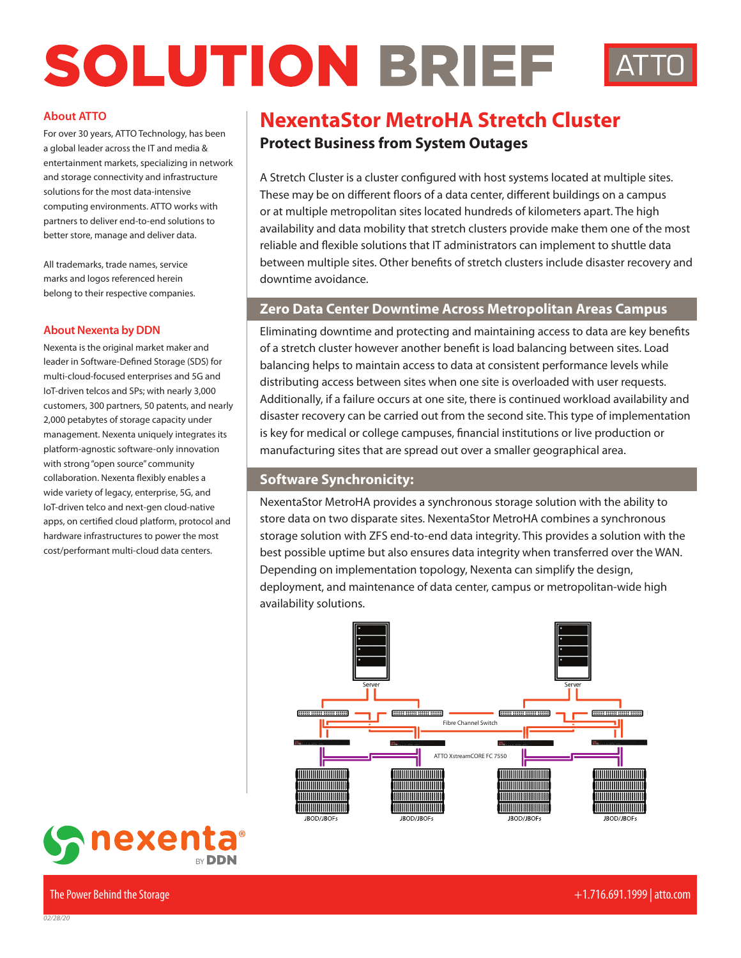# SOLUTION BRIEF

#### **About ATTO**

For over 30 years, ATTO Technology, has been a global leader across the IT and media & entertainment markets, specializing in network and storage connectivity and infrastructure solutions for the most data-intensive computing environments. ATTO works with partners to deliver end-to-end solutions to better store, manage and deliver data.

All trademarks, trade names, service marks and logos referenced herein belong to their respective companies.

#### **About Nexenta by DDN**

Nexenta is the original market maker and leader in Software-Defined Storage (SDS) for multi-cloud-focused enterprises and 5G and IoT-driven telcos and SPs; with nearly 3,000 customers, 300 partners, 50 patents, and nearly 2,000 petabytes of storage capacity under management. Nexenta uniquely integrates its platform-agnostic software-only innovation with strong "open source" community collaboration. Nexenta flexibly enables a wide variety of legacy, enterprise, 5G, and IoT-driven telco and next-gen cloud-native apps, on certified cloud platform, protocol and hardware infrastructures to power the most cost/performant multi-cloud data centers.

# **NexentaStor MetroHA Stretch Cluster**

# **Protect Business from System Outages**

A Stretch Cluster is a cluster configured with host systems located at multiple sites. These may be on different floors of a data center, different buildings on a campus or at multiple metropolitan sites located hundreds of kilometers apart. The high availability and data mobility that stretch clusters provide make them one of the most reliable and flexible solutions that IT administrators can implement to shuttle data between multiple sites. Other benefits of stretch clusters include disaster recovery and downtime avoidance.

## **Zero Data Center Downtime Across Metropolitan Areas Campus**

Eliminating downtime and protecting and maintaining access to data are key benefits of a stretch cluster however another benefit is load balancing between sites. Load balancing helps to maintain access to data at consistent performance levels while distributing access between sites when one site is overloaded with user requests. Additionally, if a failure occurs at one site, there is continued workload availability and disaster recovery can be carried out from the second site. This type of implementation is key for medical or college campuses, financial institutions or live production or manufacturing sites that are spread out over a smaller geographical area.

## **Software Synchronicity:**

NexentaStor MetroHA provides a synchronous storage solution with the ability to store data on two disparate sites. NexentaStor MetroHA combines a synchronous storage solution with ZFS end-to-end data integrity. This provides a solution with the best possible uptime but also ensures data integrity when transferred over the WAN. Depending on implementation topology, Nexenta can simplify the design, deployment, and maintenance of data center, campus or metropolitan-wide high availability solutions.